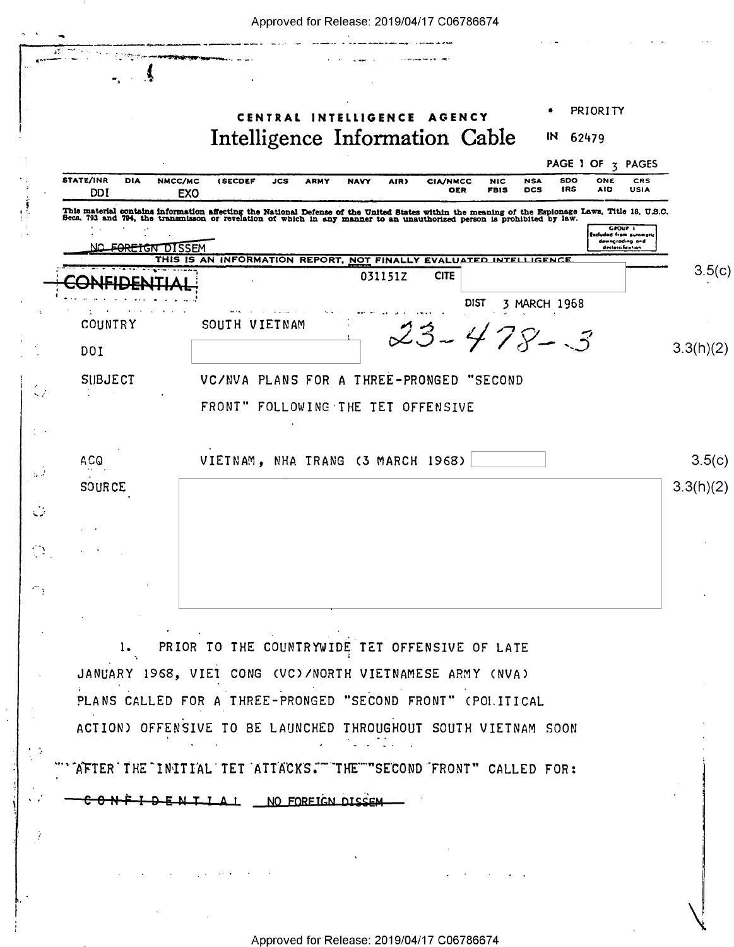|                                | PRIORITY<br>CENTRAL INTELLIGENCE AGENCY                                                                                                                                                                                                                               |           |
|--------------------------------|-----------------------------------------------------------------------------------------------------------------------------------------------------------------------------------------------------------------------------------------------------------------------|-----------|
|                                | Intelligence Information Cable<br>IN<br>62479                                                                                                                                                                                                                         |           |
| <b>STATE/INR</b><br><b>DIA</b> | PAGE 1 OF 3 PAGES<br>NMCC/MC<br>(SECDEF<br>SDO<br>ONE<br>JCS<br><b>ARMY</b><br>AIR)<br><b>CIA/NMCC</b><br><b>NIC</b><br><b>NSA</b><br><b>CRS</b><br><b>NAVY</b>                                                                                                       |           |
| <b>DDI</b>                     | IRS<br><b>USIA</b><br><b>FBIS</b><br><b>DCS</b><br>AID<br><b>OER</b><br>EXO                                                                                                                                                                                           |           |
|                                | This material contains information affecting the National Defense of the United States within the meaning of the Espionage Laws. Title 18, U.S.C.<br>Secs. 793 and 794, the transmisson or revelation of which in any manner to a<br>GROUP I<br>Escluded from automot |           |
| <del>FOREIGN D</del> ISSEM     | downgrading and<br>declassification<br>THIS IS AN INFORMATION REPORT, NOT FINALLY EVALUATED INTE<br><b>LIGENCE</b>                                                                                                                                                    |           |
|                                | 031151Z<br><b>CITE</b>                                                                                                                                                                                                                                                | 3.5(c)    |
|                                | <b>DIST</b><br>3 MARCH 1968                                                                                                                                                                                                                                           |           |
| COUNTRY                        | SOUTH VIETNAM<br>$23 - 478 - 3$                                                                                                                                                                                                                                       |           |
| DOI                            |                                                                                                                                                                                                                                                                       | 3.3(h)(2) |
| <b>SUBJECT</b>                 | VC/NVA PLANS FOR A THREE-PRONGED "SECOND                                                                                                                                                                                                                              |           |
|                                | FRONT" FOLLOWING THE TET OFFENSIVE                                                                                                                                                                                                                                    |           |
|                                |                                                                                                                                                                                                                                                                       |           |
| ACQ                            | VIETNAM, NHA TRANG (3 MARCH 1968)                                                                                                                                                                                                                                     | 3.5(c)    |
| <b>SOURCE</b>                  |                                                                                                                                                                                                                                                                       | 3.3(h)(2) |
|                                |                                                                                                                                                                                                                                                                       |           |
|                                |                                                                                                                                                                                                                                                                       |           |
|                                |                                                                                                                                                                                                                                                                       |           |
|                                |                                                                                                                                                                                                                                                                       |           |
|                                |                                                                                                                                                                                                                                                                       |           |
| 1.                             | PRIOR TO THE COUNTRYWIDE TET OFFENSIVE OF LATE                                                                                                                                                                                                                        |           |
|                                | JANUARY 1968, VIET CONG (VC)/NORTH VIETNAMESE ARMY (NVA)                                                                                                                                                                                                              |           |
|                                | PLANS CALLED FOR A THREE-PRONGED "SECOND FRONT" (POI.ITICAL                                                                                                                                                                                                           |           |
|                                | ACTION) OFFENSIVE TO BE LAUNCHED THROUGHOUT SOUTH VIETNAM SOON                                                                                                                                                                                                        |           |

DENTIAL NO FOREIGN DISSEM  $\textcolor{red}{\textcolor{blue}{\mathbf{c}}\textcolor{blue}{\mathbf{o}}\textcolor{blue}{\textcolor{blue}{\mathbf{v}}\textcolor{blue}{\mathbf{r}}}$ 

 $\mathcal{L}_{\rm{max}}$  and  $\mathcal{L}_{\rm{max}}$  and

 $\hat{\mathcal{A}}$ 

**Service State** 

 $\sim$ 

 $\frac{1}{2}$ 

 $\sim$   $\frac{1}{2}$ 

 $\hat{\mathcal{J}}$ 

 $\bar{\beta}$ 

 $\sim$   $\alpha$ 

 $\mathcal{O}(\mathcal{O}(10^6))$  . The  $\mathcal{O}(\mathcal{O}(10^6))$ 

 $\mathcal{L}^{\mathcal{A}}$  , where  $\mathcal{A}^{\mathcal{A}}$  is a subset of  $\mathcal{A}^{\mathcal{A}}$  ,  $\mathcal{A}^{\mathcal{A}}$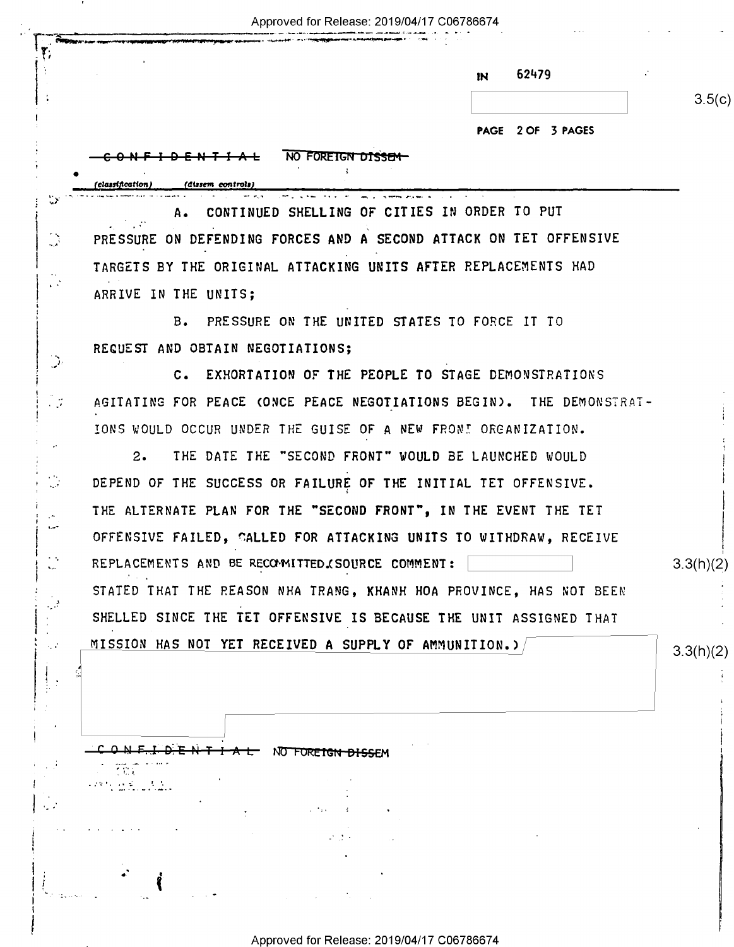Approved for Release: 2019/04/17 C06786674

\_\_\_ - -7,7 ~\_ .\_>\_..--..\_\_\_\_-...\_-.,.....\_ .\_\_-.........\_.\_.. .. - . - \_ , I ,,\_,,....'.. ..~.¢-nu-' -\_->-\_§qq;|u----¢<\-4:-\~I,v-qr--19" ~ —.-m - -

 $\blacksquare$ 

٢,

1

 $! \;$  $\mathcal{L}$  , and .

.\_\_ -

İ

3.

| 62479<br>IN       |        |
|-------------------|--------|
|                   | 3.5(c) |
| PAGE 2 OF 3 PAGES |        |

|                                         | PAGE 2 OF 3 PAGES                                                    |           |
|-----------------------------------------|----------------------------------------------------------------------|-----------|
|                                         | NO FOREIGN DISSEM                                                    |           |
|                                         | (classification)<br>(dissem controls)                                |           |
|                                         | CONTINUED SHELLING OF CITIES IN ORDER TO PUT<br>А.                   |           |
| $\mathbf{A}$                            | PRESSURE ON DEFENDING FORCES AND A SECOND ATTACK ON TET OFFENSIVE    |           |
|                                         | TARGETS BY THE ORIGINAL ATTACKING UNITS AFTER REPLACEMENTS HAD       |           |
| $\mathbf{r}^{(1)}$                      | ARRIVE IN THE UNITS;                                                 |           |
|                                         | B. PRESSURE ON THE UNITED STATES TO FORCE IT TO                      |           |
|                                         | REQUEST AND OBTAIN NEGOTIATIONS;                                     |           |
| $\mathcal{P}$                           | C. EXHORTATION OF THE PEOPLE TO STAGE DEMONSTRATIONS                 |           |
|                                         | AGITATING FOR PEACE (ONCE PEACE NEGOTIATIONS BEGIN). THE DEMONSTRAT- |           |
|                                         | IONS WOULD OCCUR UNDER THE GUISE OF A NEW FRONT ORGANIZATION.        |           |
|                                         | THE DATE THE "SECOND FRONT" WOULD BE LAUNCHED WOULD<br>2.            |           |
|                                         | DEPEND OF THE SUCCESS OR FAILURE OF THE INITIAL TET OFFENSIVE.       |           |
|                                         | THE ALTERNATE PLAN FOR THE "SECOND FRONT", IN THE EVENT THE TET      |           |
| المسرو                                  | OFFENSIVE FAILED, CALLED FOR ATTACKING UNITS TO WITHDRAW, RECEIVE    |           |
| <b>. .</b><br>$\mathbf{v}_{\text{max}}$ | REPLACEMENTS AND BE RECOMITTED. (SOURCE COMMENT:                     | 3.3(h)(2) |
|                                         | STATED THAT THE REASON NHA TRANG, KHANH HOA PROVINCE, HAS NOT BEEN   |           |
|                                         | SHELLED SINCE THE TET OFFENSIVE IS BECAUSE THE UNIT ASSIGNED THAT    |           |
|                                         | MISSION HAS NOT YET RECEIVED A SUPPLY OF AMMUNITION.)                | 3.3(h)(2) |
|                                         |                                                                      |           |
|                                         |                                                                      |           |
|                                         |                                                                      |           |
|                                         | <b>TAL NO FOREIGN DISSEM</b>                                         |           |
|                                         | $\sim 1.4$<br>こうせきい いいどうしつもいない                                       |           |
|                                         |                                                                      |           |

Approved for Release: 2019/04/17 C06786674

 $\varphi: \mathcal{Y} \rightarrow$  $\ddot{\phantom{0}}$